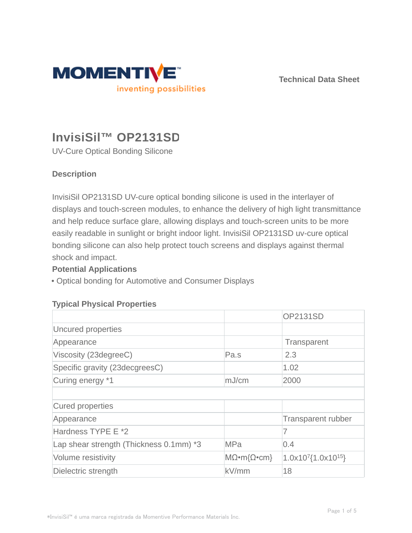

**Technical Data Sheet**

# **InvisiSil™ OP2131SD**

UV-Cure Optical Bonding Silicone

# **Description**

InvisiSil OP2131SD UV-cure optical bonding silicone is used in the interlayer of displays and touch-screen modules, to enhance the delivery of high light transmittance and help reduce surface glare, allowing displays and touch-screen units to be more easily readable in sunlight or bright indoor light. InvisiSil OP2131SD uv-cure optical bonding silicone can also help protect touch screens and displays against thermal shock and impact.

## **Potential Applications**

• Optical bonding for Automotive and Consumer Displays

## **Typical Physical Properties**

|                                         |                                  | <b>OP2131SD</b>                      |
|-----------------------------------------|----------------------------------|--------------------------------------|
| Uncured properties                      |                                  |                                      |
| Appearance                              |                                  | Transparent                          |
| Viscosity (23degreeC)                   | Pa.s                             | 2.3                                  |
| Specific gravity (23decgreesC)          |                                  | 1.02                                 |
| Curing energy *1                        | mJ/cm                            | 2000                                 |
|                                         |                                  |                                      |
| Cured properties                        |                                  |                                      |
| Appearance                              |                                  | <b>Transparent rubber</b>            |
| Hardness TYPE E *2                      |                                  | 7                                    |
| Lap shear strength (Thickness 0.1mm) *3 | <b>MPa</b>                       | 0.4                                  |
| Volume resistivity                      | $M\Omega \cdot m\Omega \cdot cm$ | $1.0x10^{7}$ {1.0x10 <sup>15</sup> } |
| Dielectric strength                     | kV/mm                            | 18                                   |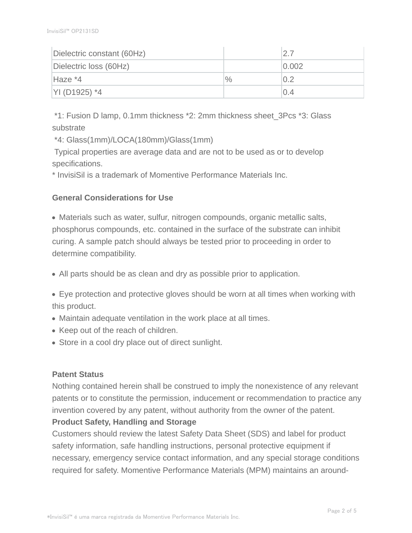| Dielectric constant (60Hz) |      | 2.7   |
|----------------------------|------|-------|
| Dielectric loss (60Hz)     |      | 0.002 |
| Haze *4                    | $\%$ | 0.2   |
| YI (D1925) *4              |      | 0.4   |

 \*1: Fusion D lamp, 0.1mm thickness \*2: 2mm thickness sheet\_3Pcs \*3: Glass substrate

\*4: Glass(1mm)/LOCA(180mm)/Glass(1mm)

Typical properties are average data and are not to be used as or to develop specifications.

\* InvisiSil is a trademark of Momentive Performance Materials Inc.

## **General Considerations for Use**

Materials such as water, sulfur, nitrogen compounds, organic metallic salts, phosphorus compounds, etc. contained in the surface of the substrate can inhibit curing. A sample patch should always be tested prior to proceeding in order to determine compatibility.

All parts should be as clean and dry as possible prior to application.

Eye protection and protective gloves should be worn at all times when working with this product.

- Maintain adequate ventilation in the work place at all times.
- Keep out of the reach of children.
- Store in a cool dry place out of direct sunlight.

## **Patent Status**

Nothing contained herein shall be construed to imply the nonexistence of any relevant patents or to constitute the permission, inducement or recommendation to practice any invention covered by any patent, without authority from the owner of the patent. **Product Safety, Handling and Storage**

Customers should review the latest Safety Data Sheet (SDS) and label for product safety information, safe handling instructions, personal protective equipment if necessary, emergency service contact information, and any special storage conditions required for safety. Momentive Performance Materials (MPM) maintains an around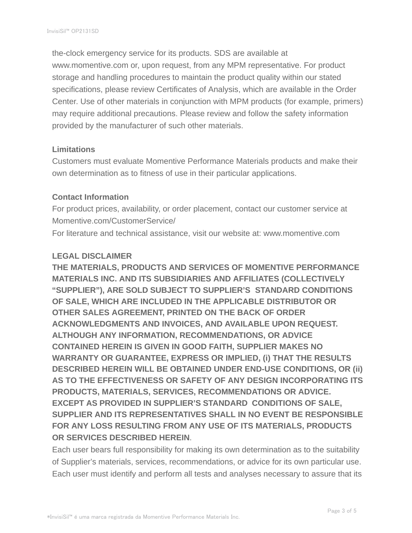the-clock emergency service for its products. SDS are available at www.momentive.com or, upon request, from any MPM representative. For product storage and handling procedures to maintain the product quality within our stated specifications, please review Certificates of Analysis, which are available in the Order Center. Use of other materials in conjunction with MPM products (for example, primers) may require additional precautions. Please review and follow the safety information provided by the manufacturer of such other materials.

#### **Limitations**

Customers must evaluate Momentive Performance Materials products and make their own determination as to fitness of use in their particular applications.

#### **Contact Information**

For product prices, availability, or order placement, contact our customer service at Momentive.com/CustomerService/

For literature and technical assistance, visit our website at: www.momentive.com

#### **LEGAL DISCLAIMER**

**THE MATERIALS, PRODUCTS AND SERVICES OF MOMENTIVE PERFORMANCE MATERIALS INC. AND ITS SUBSIDIARIES AND AFFILIATES (COLLECTIVELY "SUPPLIER"), ARE SOLD SUBJECT TO SUPPLIER'S STANDARD CONDITIONS OF SALE, WHICH ARE INCLUDED IN THE APPLICABLE DISTRIBUTOR OR OTHER SALES AGREEMENT, PRINTED ON THE BACK OF ORDER ACKNOWLEDGMENTS AND INVOICES, AND AVAILABLE UPON REQUEST. ALTHOUGH ANY INFORMATION, RECOMMENDATIONS, OR ADVICE CONTAINED HEREIN IS GIVEN IN GOOD FAITH, SUPPLIER MAKES NO WARRANTY OR GUARANTEE, EXPRESS OR IMPLIED, (i) THAT THE RESULTS DESCRIBED HEREIN WILL BE OBTAINED UNDER END-USE CONDITIONS, OR (ii) AS TO THE EFFECTIVENESS OR SAFETY OF ANY DESIGN INCORPORATING ITS PRODUCTS, MATERIALS, SERVICES, RECOMMENDATIONS OR ADVICE. EXCEPT AS PROVIDED IN SUPPLIER'S STANDARD CONDITIONS OF SALE, SUPPLIER AND ITS REPRESENTATIVES SHALL IN NO EVENT BE RESPONSIBLE FOR ANY LOSS RESULTING FROM ANY USE OF ITS MATERIALS, PRODUCTS OR SERVICES DESCRIBED HEREIN**.

Each user bears full responsibility for making its own determination as to the suitability of Supplier's materials, services, recommendations, or advice for its own particular use. Each user must identify and perform all tests and analyses necessary to assure that its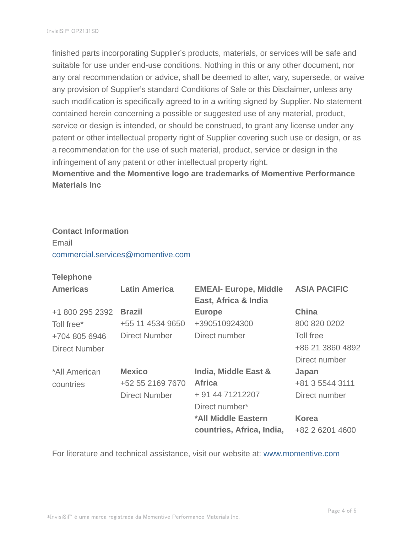finished parts incorporating Supplier's products, materials, or services will be safe and suitable for use under end-use conditions. Nothing in this or any other document, nor any oral recommendation or advice, shall be deemed to alter, vary, supersede, or waive any provision of Supplier's standard Conditions of Sale or this Disclaimer, unless any such modification is specifically agreed to in a writing signed by Supplier. No statement contained herein concerning a possible or suggested use of any material, product, service or design is intended, or should be construed, to grant any license under any patent or other intellectual property right of Supplier covering such use or design, or as a recommendation for the use of such material, product, service or design in the infringement of any patent or other intellectual property right.

**Momentive and the Momentive logo are trademarks of Momentive Performance Materials Inc**

## **Contact Information** Email

commercial.services@momentive.com

## **Telephone**

| <b>Americas</b>      | <b>Latin America</b> | <b>EMEAI- Europe, Middle</b><br>East, Africa & India | <b>ASIA PACIFIC</b> |
|----------------------|----------------------|------------------------------------------------------|---------------------|
| +1 800 295 2392      | <b>Brazil</b>        | <b>Europe</b>                                        | <b>China</b>        |
| Toll free*           | +55 11 4534 9650     | +390510924300                                        | 800 820 0202        |
| +704 805 6946        | Direct Number        | Direct number                                        | Toll free           |
| <b>Direct Number</b> |                      |                                                      | +86 21 3860 4892    |
|                      |                      |                                                      | Direct number       |
| *All American        | <b>Mexico</b>        | India, Middle East &                                 | Japan               |
| countries            | +52 55 2169 7670     | <b>Africa</b>                                        | +81 3 5544 3111     |
|                      | <b>Direct Number</b> | + 91 44 71212207                                     | Direct number       |
|                      |                      | Direct number*                                       |                     |
|                      |                      | *All Middle Eastern                                  | <b>Korea</b>        |
|                      |                      | countries, Africa, India,                            | +82 2 6201 4600     |

For literature and technical assistance, visit our website at: www.momentive.com